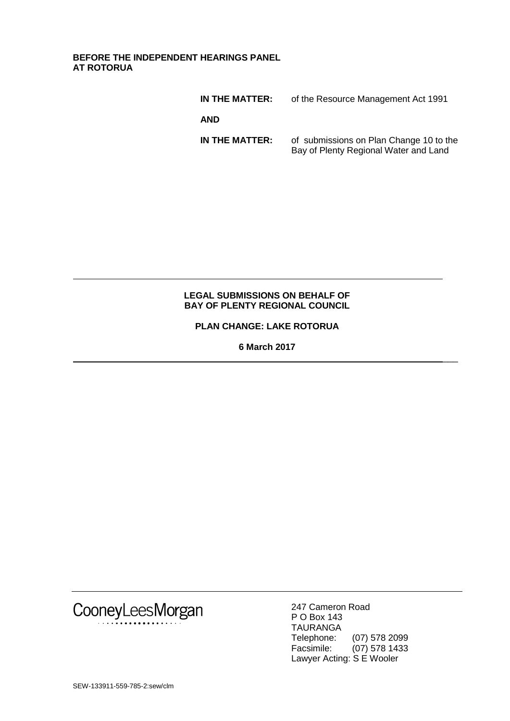**BEFORE THE INDEPENDENT HEARINGS PANEL AT ROTORUA**

| IN THE MATTER: | of the Resource Management Act 1991                                              |
|----------------|----------------------------------------------------------------------------------|
| <b>AND</b>     |                                                                                  |
| IN THE MATTER: | of submissions on Plan Change 10 to the<br>Bay of Plenty Regional Water and Land |

#### **LEGAL SUBMISSIONS ON BEHALF OF BAY OF PLENTY REGIONAL COUNCIL**

**PLAN CHANGE: LAKE ROTORUA**

**6 March 2017**



247 Cameron Road P O Box 143 TAURANGA Telephone: (07) 578 2099 Facsimile: (07) 578 1433 Lawyer Acting: S E Wooler

 $\overline{\phantom{a}}$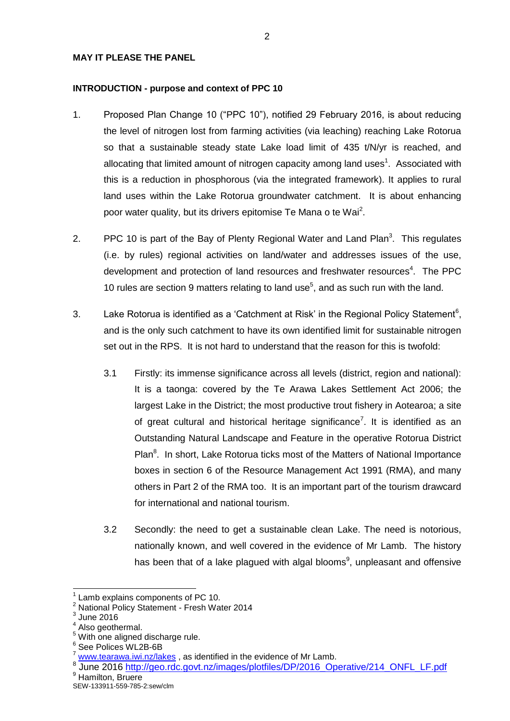#### **MAY IT PLEASE THE PANEL**

#### **INTRODUCTION - purpose and context of PPC 10**

- 1. Proposed Plan Change 10 ("PPC 10"), notified 29 February 2016, is about reducing the level of nitrogen lost from farming activities (via leaching) reaching Lake Rotorua so that a sustainable steady state Lake load limit of 435 t/N/yr is reached, and allocating that limited amount of nitrogen capacity among land uses<sup>1</sup>. Associated with this is a reduction in phosphorous (via the integrated framework). It applies to rural land uses within the Lake Rotorua groundwater catchment. It is about enhancing poor water quality, but its drivers epitomise Te Mana o te Wai<sup>2</sup>.
- 2. PPC 10 is part of the Bay of Plenty Regional Water and Land Plan<sup>3</sup>. This regulates (i.e. by rules) regional activities on land/water and addresses issues of the use, development and protection of land resources and freshwater resources<sup>4</sup>. The PPC 10 rules are section 9 matters relating to land use<sup>5</sup>, and as such run with the land.
- 3. Lake Rotorua is identified as a 'Catchment at Risk' in the Regional Policy Statement<sup>6</sup>, and is the only such catchment to have its own identified limit for sustainable nitrogen set out in the RPS. It is not hard to understand that the reason for this is twofold:
	- 3.1 Firstly: its immense significance across all levels (district, region and national): It is a taonga: covered by the Te Arawa Lakes Settlement Act 2006; the largest Lake in the District; the most productive trout fishery in Aotearoa; a site of great cultural and historical heritage significance<sup>7</sup>. It is identified as an Outstanding Natural Landscape and Feature in the operative Rotorua District Plan<sup>8</sup>. In short, Lake Rotorua ticks most of the Matters of National Importance boxes in section 6 of the Resource Management Act 1991 (RMA), and many others in Part 2 of the RMA too. It is an important part of the tourism drawcard for international and national tourism.
	- 3.2 Secondly: the need to get a sustainable clean Lake. The need is notorious, nationally known, and well covered in the evidence of Mr Lamb. The history has been that of a lake plagued with algal blooms<sup>9</sup>, unpleasant and offensive

<sup>1</sup> Lamb explains components of PC 10.

<sup>&</sup>lt;sup>2</sup> National Policy Statement - Fresh Water 2014

 $3$  June 2016

Also geothermal.

With one aligned discharge rule.

<sup>6</sup> See Polices WL2B-6B

[www.tearawa.iwi.nz/lakes](http://www.tearawa.iwi.nz/lakes), as identified in the evidence of Mr Lamb.

<sup>8</sup> June 2016 [http://geo.rdc.govt.nz/images/plotfiles/DP/2016\\_Operative/214\\_ONFL\\_LF.pdf](http://geo.rdc.govt.nz/images/plotfiles/DP/2016_Operative/214_ONFL_LF.pdf) Hamilton, Bruere

SEW-133911-559-785-2:sew/clm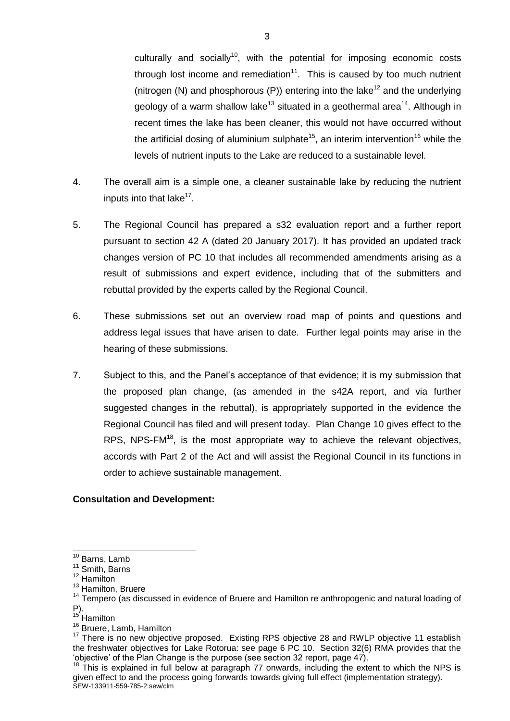culturally and socially<sup>10</sup>, with the potential for imposing economic costs through lost income and remediation $11$ . This is caused by too much nutrient (nitrogen (N) and phosphorous (P)) entering into the lake<sup>12</sup> and the underlying geology of a warm shallow lake<sup>13</sup> situated in a geothermal area<sup>14</sup>. Although in recent times the lake has been cleaner, this would not have occurred without the artificial dosing of aluminium sulphate<sup>15</sup>, an interim intervention<sup>16</sup> while the levels of nutrient inputs to the Lake are reduced to a sustainable level.

- 4. The overall aim is a simple one, a cleaner sustainable lake by reducing the nutrient inputs into that lake<sup>17</sup>.
- 5. The Regional Council has prepared a s32 evaluation report and a further report pursuant to section 42 A (dated 20 January 2017). It has provided an updated track changes version of PC 10 that includes all recommended amendments arising as a result of submissions and expert evidence, including that of the submitters and rebuttal provided by the experts called by the Regional Council.
- 6. These submissions set out an overview road map of points and questions and address legal issues that have arisen to date. Further legal points may arise in the hearing of these submissions.
- 7. Subject to this, and the Panel's acceptance of that evidence; it is my submission that the proposed plan change, (as amended in the s42A report, and via further suggested changes in the rebuttal), is appropriately supported in the evidence the Regional Council has filed and will present today. Plan Change 10 gives effect to the RPS. NPS-FM $^{18}$ , is the most appropriate way to achieve the relevant objectives, accords with Part 2 of the Act and will assist the Regional Council in its functions in order to achieve sustainable management.

# **Consultation and Development:**

<sup>&</sup>lt;sup>10</sup> Barns, Lamb

<sup>&</sup>lt;sup>11</sup> Smith, Barns

<sup>12</sup> Hamilton

<sup>&</sup>lt;sup>13</sup> Hamilton, Bruere

 $14$  Tempero (as discussed in evidence of Bruere and Hamilton re anthropogenic and natural loading of P).

<sup>&</sup>lt;sup>15</sup> Hamilton

<sup>&</sup>lt;sup>16</sup> Bruere, Lamb, Hamilton

 $17$  There is no new objective proposed. Existing RPS objective 28 and RWLP objective 11 establish the freshwater objectives for Lake Rotorua: see page 6 PC 10. Section 32(6) RMA provides that the 'objective' of the Plan Change is the purpose (see section 32 report, page 47).

SEW-133911-559-785-2:sew/clm  $18$  This is explained in full below at paragraph 77 onwards, including the extent to which the NPS is given effect to and the process going forwards towards giving full effect (implementation strategy).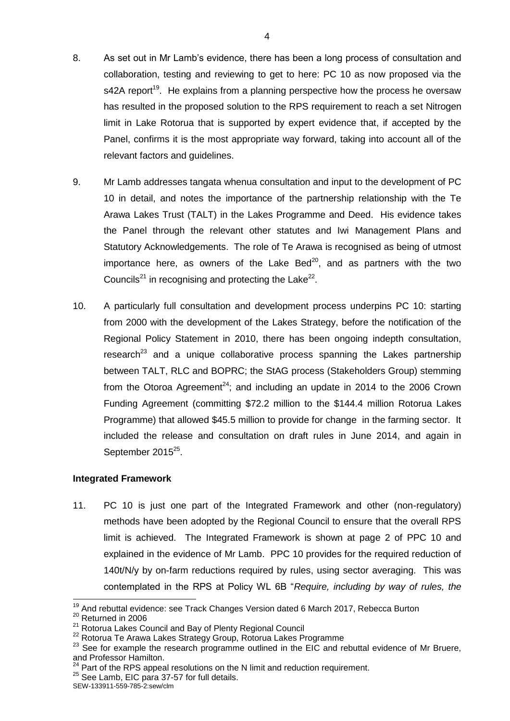- 8. As set out in Mr Lamb's evidence, there has been a long process of consultation and collaboration, testing and reviewing to get to here: PC 10 as now proposed via the s42A report<sup>19</sup>. He explains from a planning perspective how the process he oversaw has resulted in the proposed solution to the RPS requirement to reach a set Nitrogen limit in Lake Rotorua that is supported by expert evidence that, if accepted by the Panel, confirms it is the most appropriate way forward, taking into account all of the relevant factors and guidelines.
- 9. Mr Lamb addresses tangata whenua consultation and input to the development of PC 10 in detail, and notes the importance of the partnership relationship with the Te Arawa Lakes Trust (TALT) in the Lakes Programme and Deed. His evidence takes the Panel through the relevant other statutes and Iwi Management Plans and Statutory Acknowledgements. The role of Te Arawa is recognised as being of utmost importance here, as owners of the Lake Bed $^{20}$ , and as partners with the two Councils<sup>21</sup> in recognising and protecting the Lake<sup>22</sup>.
- 10. A particularly full consultation and development process underpins PC 10: starting from 2000 with the development of the Lakes Strategy, before the notification of the Regional Policy Statement in 2010, there has been ongoing indepth consultation, research<sup>23</sup> and a unique collaborative process spanning the Lakes partnership between TALT, RLC and BOPRC; the StAG process (Stakeholders Group) stemming from the Otoroa Agreement<sup>24</sup>; and including an update in 2014 to the 2006 Crown Funding Agreement (committing \$72.2 million to the \$144.4 million Rotorua Lakes Programme) that allowed \$45.5 million to provide for change in the farming sector. It included the release and consultation on draft rules in June 2014, and again in September 2015<sup>25</sup>.

# **Integrated Framework**

11. PC 10 is just one part of the Integrated Framework and other (non-regulatory) methods have been adopted by the Regional Council to ensure that the overall RPS limit is achieved. The Integrated Framework is shown at page 2 of PPC 10 and explained in the evidence of Mr Lamb. PPC 10 provides for the required reduction of 140t/N/y by on-farm reductions required by rules, using sector averaging. This was contemplated in the RPS at Policy WL 6B "*Require, including by way of rules, the* 

-

 $19$  And rebuttal evidence: see Track Changes Version dated 6 March 2017, Rebecca Burton

<sup>20</sup> Returned in 2006

<sup>21</sup> Rotorua Lakes Council and Bay of Plenty Regional Council

<sup>22</sup> Rotorua Te Arawa Lakes Strategy Group, Rotorua Lakes Programme

<sup>&</sup>lt;sup>23</sup> See for example the research programme outlined in the EIC and rebuttal evidence of Mr Bruere, and Professor Hamilton.

 $24$  Part of the RPS appeal resolutions on the N limit and reduction requirement.

<sup>&</sup>lt;sup>25</sup> See Lamb, EIC para 37-57 for full details.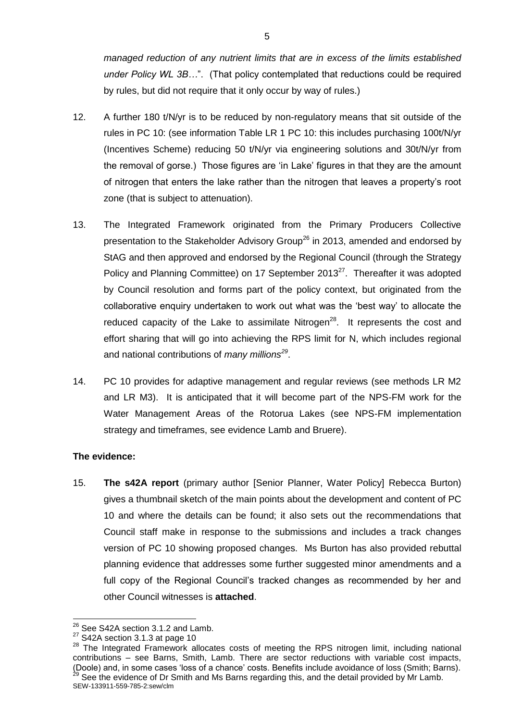*managed reduction of any nutrient limits that are in excess of the limits established under Policy WL 3B…*". (That policy contemplated that reductions could be required by rules, but did not require that it only occur by way of rules.)

- 12. A further 180 t/N/yr is to be reduced by non-regulatory means that sit outside of the rules in PC 10: (see information Table LR 1 PC 10: this includes purchasing 100t/N/yr (Incentives Scheme) reducing 50 t/N/yr via engineering solutions and 30t/N/yr from the removal of gorse.) Those figures are 'in Lake' figures in that they are the amount of nitrogen that enters the lake rather than the nitrogen that leaves a property's root zone (that is subject to attenuation).
- 13. The Integrated Framework originated from the Primary Producers Collective presentation to the Stakeholder Advisory Group<sup>26</sup> in 2013, amended and endorsed by StAG and then approved and endorsed by the Regional Council (through the Strategy Policy and Planning Committee) on 17 September 2013<sup>27</sup>. Thereafter it was adopted by Council resolution and forms part of the policy context, but originated from the collaborative enquiry undertaken to work out what was the 'best way' to allocate the reduced capacity of the Lake to assimilate Nitrogen<sup>28</sup>. It represents the cost and effort sharing that will go into achieving the RPS limit for N, which includes regional and national contributions of *many millions<sup>29</sup>* .
- 14. PC 10 provides for adaptive management and regular reviews (see methods LR M2 and LR M3). It is anticipated that it will become part of the NPS-FM work for the Water Management Areas of the Rotorua Lakes (see NPS-FM implementation strategy and timeframes, see evidence Lamb and Bruere).

# **The evidence:**

1

15. **The s42A report** (primary author [Senior Planner, Water Policy] Rebecca Burton) gives a thumbnail sketch of the main points about the development and content of PC 10 and where the details can be found; it also sets out the recommendations that Council staff make in response to the submissions and includes a track changes version of PC 10 showing proposed changes. Ms Burton has also provided rebuttal planning evidence that addresses some further suggested minor amendments and a full copy of the Regional Council's tracked changes as recommended by her and other Council witnesses is **attached**.

 $2^6$  See S42A section 3.1.2 and Lamb.

 $27$  S42A section 3.1.3 at page 10

SEW-133911-559-785-2:sew/clm <sup>28</sup> The Integrated Framework allocates costs of meeting the RPS nitrogen limit, including national contributions – see Barns, Smith, Lamb. There are sector reductions with variable cost impacts, (Doole) and, in some cases 'loss of a chance' costs. Benefits include avoidance of loss (Smith; Barns).  $^{29}$  See the evidence of Dr Smith and Ms Barns regarding this, and the detail provided by Mr Lamb.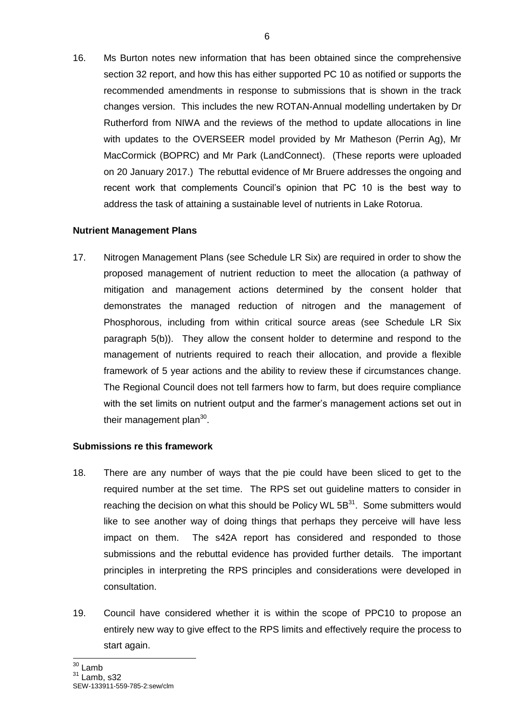16. Ms Burton notes new information that has been obtained since the comprehensive section 32 report, and how this has either supported PC 10 as notified or supports the recommended amendments in response to submissions that is shown in the track changes version. This includes the new ROTAN-Annual modelling undertaken by Dr Rutherford from NIWA and the reviews of the method to update allocations in line with updates to the OVERSEER model provided by Mr Matheson (Perrin Ag), Mr MacCormick (BOPRC) and Mr Park (LandConnect). (These reports were uploaded on 20 January 2017.) The rebuttal evidence of Mr Bruere addresses the ongoing and recent work that complements Council's opinion that PC 10 is the best way to address the task of attaining a sustainable level of nutrients in Lake Rotorua.

# **Nutrient Management Plans**

17. Nitrogen Management Plans (see Schedule LR Six) are required in order to show the proposed management of nutrient reduction to meet the allocation (a pathway of mitigation and management actions determined by the consent holder that demonstrates the managed reduction of nitrogen and the management of Phosphorous, including from within critical source areas (see Schedule LR Six paragraph 5(b)). They allow the consent holder to determine and respond to the management of nutrients required to reach their allocation, and provide a flexible framework of 5 year actions and the ability to review these if circumstances change. The Regional Council does not tell farmers how to farm, but does require compliance with the set limits on nutrient output and the farmer's management actions set out in their management plan $^{30}$ .

# **Submissions re this framework**

- 18. There are any number of ways that the pie could have been sliced to get to the required number at the set time. The RPS set out guideline matters to consider in reaching the decision on what this should be Policy WL  $5B<sup>31</sup>$ . Some submitters would like to see another way of doing things that perhaps they perceive will have less impact on them. The s42A report has considered and responded to those submissions and the rebuttal evidence has provided further details. The important principles in interpreting the RPS principles and considerations were developed in consultation.
- 19. Council have considered whether it is within the scope of PPC10 to propose an entirely new way to give effect to the RPS limits and effectively require the process to start again.

-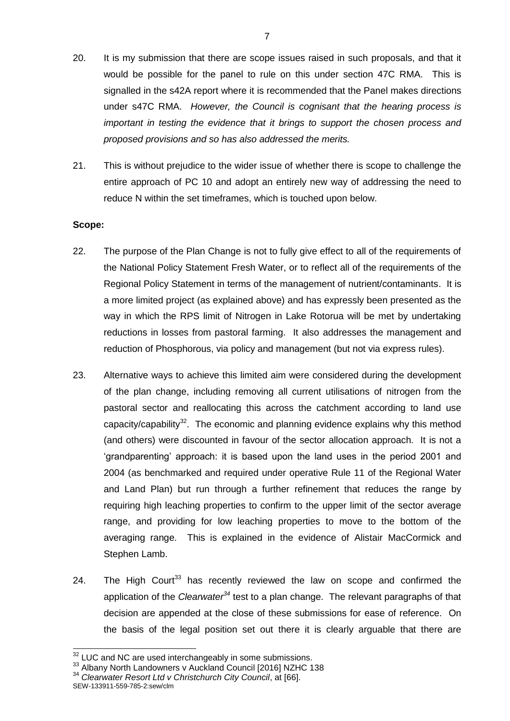- 20. It is my submission that there are scope issues raised in such proposals, and that it would be possible for the panel to rule on this under section 47C RMA. This is signalled in the s42A report where it is recommended that the Panel makes directions under s47C RMA. *However, the Council is cognisant that the hearing process is important in testing the evidence that it brings to support the chosen process and proposed provisions and so has also addressed the merits.*
- 21. This is without prejudice to the wider issue of whether there is scope to challenge the entire approach of PC 10 and adopt an entirely new way of addressing the need to reduce N within the set timeframes, which is touched upon below.

# **Scope:**

- 22. The purpose of the Plan Change is not to fully give effect to all of the requirements of the National Policy Statement Fresh Water, or to reflect all of the requirements of the Regional Policy Statement in terms of the management of nutrient/contaminants. It is a more limited project (as explained above) and has expressly been presented as the way in which the RPS limit of Nitrogen in Lake Rotorua will be met by undertaking reductions in losses from pastoral farming. It also addresses the management and reduction of Phosphorous, via policy and management (but not via express rules).
- 23. Alternative ways to achieve this limited aim were considered during the development of the plan change, including removing all current utilisations of nitrogen from the pastoral sector and reallocating this across the catchment according to land use capacity/capability<sup>32</sup>. The economic and planning evidence explains why this method (and others) were discounted in favour of the sector allocation approach. It is not a 'grandparenting' approach: it is based upon the land uses in the period 2001 and 2004 (as benchmarked and required under operative Rule 11 of the Regional Water and Land Plan) but run through a further refinement that reduces the range by requiring high leaching properties to confirm to the upper limit of the sector average range, and providing for low leaching properties to move to the bottom of the averaging range. This is explained in the evidence of Alistair MacCormick and Stephen Lamb.
- 24. The High Court<sup>33</sup> has recently reviewed the law on scope and confirmed the application of the *Clearwater<sup>34</sup>* test to a plan change. The relevant paragraphs of that decision are appended at the close of these submissions for ease of reference. On the basis of the legal position set out there it is clearly arguable that there are

<sup>34</sup> *Clearwater Resort Ltd v Christchurch City Council*, at [66].

 $32$  LUC and NC are used interchangeably in some submissions.

<sup>&</sup>lt;sup>33</sup> Albany North Landowners v Auckland Council [2016] NZHC 138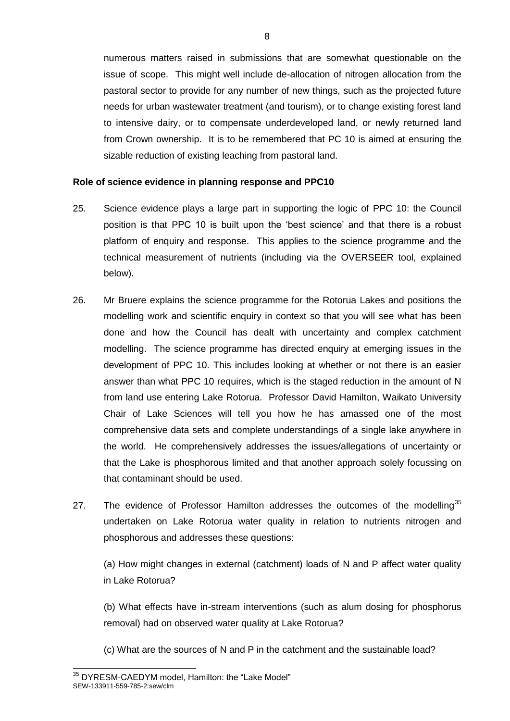numerous matters raised in submissions that are somewhat questionable on the issue of scope. This might well include de-allocation of nitrogen allocation from the pastoral sector to provide for any number of new things, such as the projected future needs for urban wastewater treatment (and tourism), or to change existing forest land to intensive dairy, or to compensate underdeveloped land, or newly returned land from Crown ownership. It is to be remembered that PC 10 is aimed at ensuring the sizable reduction of existing leaching from pastoral land.

#### **Role of science evidence in planning response and PPC10**

- 25. Science evidence plays a large part in supporting the logic of PPC 10: the Council position is that PPC 10 is built upon the 'best science' and that there is a robust platform of enquiry and response. This applies to the science programme and the technical measurement of nutrients (including via the OVERSEER tool, explained below).
- 26. Mr Bruere explains the science programme for the Rotorua Lakes and positions the modelling work and scientific enquiry in context so that you will see what has been done and how the Council has dealt with uncertainty and complex catchment modelling. The science programme has directed enquiry at emerging issues in the development of PPC 10. This includes looking at whether or not there is an easier answer than what PPC 10 requires, which is the staged reduction in the amount of N from land use entering Lake Rotorua. Professor David Hamilton, Waikato University Chair of Lake Sciences will tell you how he has amassed one of the most comprehensive data sets and complete understandings of a single lake anywhere in the world. He comprehensively addresses the issues/allegations of uncertainty or that the Lake is phosphorous limited and that another approach solely focussing on that contaminant should be used.
- 27. The evidence of Professor Hamilton addresses the outcomes of the modelling<sup>35</sup> undertaken on Lake Rotorua water quality in relation to nutrients nitrogen and phosphorous and addresses these questions:

(a) How might changes in external (catchment) loads of N and P affect water quality in Lake Rotorua?

(b) What effects have in-stream interventions (such as alum dosing for phosphorus removal) had on observed water quality at Lake Rotorua?

(c) What are the sources of N and P in the catchment and the sustainable load?

SEW-133911-559-785-2:sew/clm  $\overline{a}$ <sup>35</sup> DYRESM-CAEDYM model, Hamilton: the "Lake Model"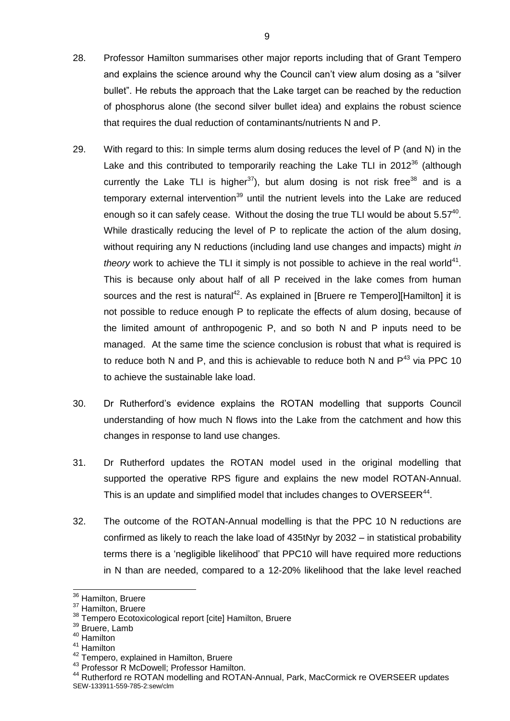- 28. Professor Hamilton summarises other major reports including that of Grant Tempero and explains the science around why the Council can't view alum dosing as a "silver bullet". He rebuts the approach that the Lake target can be reached by the reduction of phosphorus alone (the second silver bullet idea) and explains the robust science that requires the dual reduction of contaminants/nutrients N and P.
- 29. With regard to this: In simple terms alum dosing reduces the level of P (and N) in the Lake and this contributed to temporarily reaching the Lake TLI in 2012<sup>36</sup> (although currently the Lake TLI is higher<sup>37</sup>), but alum dosing is not risk free<sup>38</sup> and is a temporary external intervention<sup>39</sup> until the nutrient levels into the Lake are reduced enough so it can safely cease. Without the dosing the true TLI would be about  $5.57^{40}$ . While drastically reducing the level of P to replicate the action of the alum dosing, without requiring any N reductions (including land use changes and impacts) might *in*  theory work to achieve the TLI it simply is not possible to achieve in the real world<sup>41</sup>. This is because only about half of all P received in the lake comes from human sources and the rest is natural<sup>42</sup>. As explained in [Bruere re Tempero][Hamilton] it is not possible to reduce enough P to replicate the effects of alum dosing, because of the limited amount of anthropogenic P, and so both N and P inputs need to be managed. At the same time the science conclusion is robust that what is required is to reduce both N and P, and this is achievable to reduce both N and  $P^{43}$  via PPC 10 to achieve the sustainable lake load.
- 30. Dr Rutherford's evidence explains the ROTAN modelling that supports Council understanding of how much N flows into the Lake from the catchment and how this changes in response to land use changes.
- 31. Dr Rutherford updates the ROTAN model used in the original modelling that supported the operative RPS figure and explains the new model ROTAN-Annual. This is an update and simplified model that includes changes to OVERSEER $44$ .
- 32. The outcome of the ROTAN-Annual modelling is that the PPC 10 N reductions are confirmed as likely to reach the lake load of 435tNyr by 2032 – in statistical probability terms there is a 'negligible likelihood' that PPC10 will have required more reductions in N than are needed, compared to a 12-20% likelihood that the lake level reached

<sup>40</sup> Hamilton

1

<sup>41</sup> Hamilton

<sup>&</sup>lt;sup>36</sup> Hamilton, Bruere

<sup>&</sup>lt;sup>37</sup> Hamilton, Bruere

<sup>38</sup> Tempero Ecotoxicological report [cite] Hamilton, Bruere

<sup>&</sup>lt;sup>39</sup> Bruere, Lamb

<sup>42</sup> Tempero, explained in Hamilton, Bruere

<sup>&</sup>lt;sup>43</sup> Professor R McDowell; Professor Hamilton.

SEW-133911-559-785-2:sew/clm <sup>44</sup> Rutherford re ROTAN modelling and ROTAN-Annual, Park, MacCormick re OVERSEER updates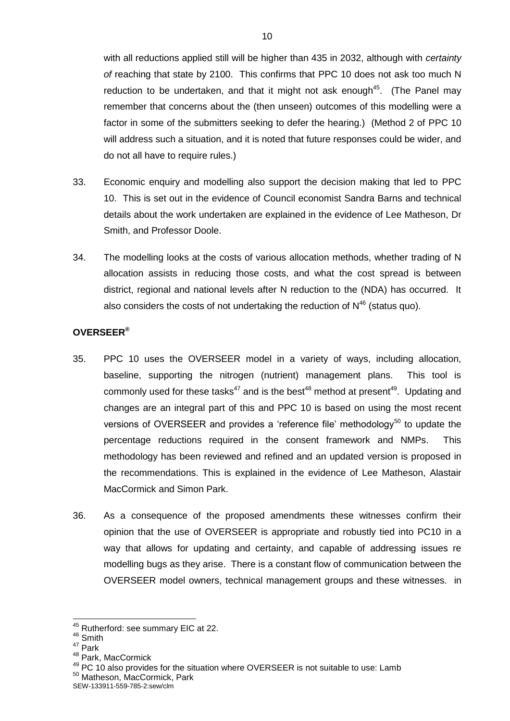with all reductions applied still will be higher than 435 in 2032, although with *certainty of* reaching that state by 2100. This confirms that PPC 10 does not ask too much N reduction to be undertaken, and that it might not ask enough<sup>45</sup>. (The Panel may remember that concerns about the (then unseen) outcomes of this modelling were a factor in some of the submitters seeking to defer the hearing.) (Method 2 of PPC 10 will address such a situation, and it is noted that future responses could be wider, and do not all have to require rules.)

- 33. Economic enquiry and modelling also support the decision making that led to PPC 10. This is set out in the evidence of Council economist Sandra Barns and technical details about the work undertaken are explained in the evidence of Lee Matheson, Dr Smith, and Professor Doole.
- 34. The modelling looks at the costs of various allocation methods, whether trading of N allocation assists in reducing those costs, and what the cost spread is between district, regional and national levels after N reduction to the (NDA) has occurred. It also considers the costs of not undertaking the reduction of  $N^{46}$  (status quo).

# **OVERSEER®**

- 35. PPC 10 uses the OVERSEER model in a variety of ways, including allocation, baseline, supporting the nitrogen (nutrient) management plans. This tool is commonly used for these tasks<sup>47</sup> and is the best<sup>48</sup> method at present<sup>49</sup>. Updating and changes are an integral part of this and PPC 10 is based on using the most recent versions of OVERSEER and provides a 'reference file' methodology<sup>50</sup> to update the percentage reductions required in the consent framework and NMPs. This methodology has been reviewed and refined and an updated version is proposed in the recommendations. This is explained in the evidence of Lee Matheson, Alastair MacCormick and Simon Park.
- 36. As a consequence of the proposed amendments these witnesses confirm their opinion that the use of OVERSEER is appropriate and robustly tied into PC10 in a way that allows for updating and certainty, and capable of addressing issues re modelling bugs as they arise. There is a constant flow of communication between the OVERSEER model owners, technical management groups and these witnesses. in

<sup>1</sup> <sup>45</sup> Rutherford: see summary EIC at 22.

<sup>&</sup>lt;sup>46</sup> Smith

<sup>47</sup> Park

<sup>48</sup> Park, MacCormick

 $49$  PC 10 also provides for the situation where OVERSEER is not suitable to use: Lamb <sup>50</sup> Matheson, MacCormick, Park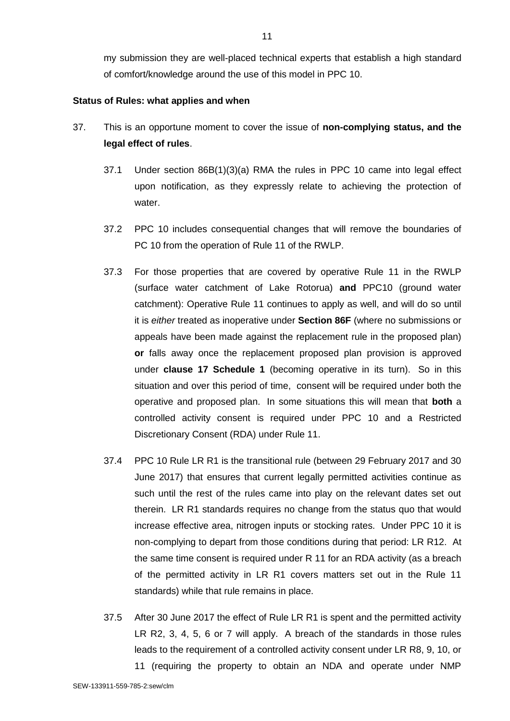my submission they are well-placed technical experts that establish a high standard of comfort/knowledge around the use of this model in PPC 10.

#### **Status of Rules: what applies and when**

- 37. This is an opportune moment to cover the issue of **non-complying status, and the legal effect of rules**.
	- 37.1 Under section 86B(1)(3)(a) RMA the rules in PPC 10 came into legal effect upon notification, as they expressly relate to achieving the protection of water.
	- 37.2 PPC 10 includes consequential changes that will remove the boundaries of PC 10 from the operation of Rule 11 of the RWLP.
	- 37.3 For those properties that are covered by operative Rule 11 in the RWLP (surface water catchment of Lake Rotorua) **and** PPC10 (ground water catchment): Operative Rule 11 continues to apply as well, and will do so until it is *either* treated as inoperative under **Section 86F** (where no submissions or appeals have been made against the replacement rule in the proposed plan) **or** falls away once the replacement proposed plan provision is approved under **clause 17 Schedule 1** (becoming operative in its turn). So in this situation and over this period of time, consent will be required under both the operative and proposed plan. In some situations this will mean that **both** a controlled activity consent is required under PPC 10 and a Restricted Discretionary Consent (RDA) under Rule 11.
	- 37.4 PPC 10 Rule LR R1 is the transitional rule (between 29 February 2017 and 30 June 2017) that ensures that current legally permitted activities continue as such until the rest of the rules came into play on the relevant dates set out therein. LR R1 standards requires no change from the status quo that would increase effective area, nitrogen inputs or stocking rates. Under PPC 10 it is non-complying to depart from those conditions during that period: LR R12. At the same time consent is required under R 11 for an RDA activity (as a breach of the permitted activity in LR R1 covers matters set out in the Rule 11 standards) while that rule remains in place.
	- 37.5 After 30 June 2017 the effect of Rule LR R1 is spent and the permitted activity LR R2, 3, 4, 5, 6 or 7 will apply. A breach of the standards in those rules leads to the requirement of a controlled activity consent under LR R8, 9, 10, or
		- 11 (requiring the property to obtain an NDA and operate under NMP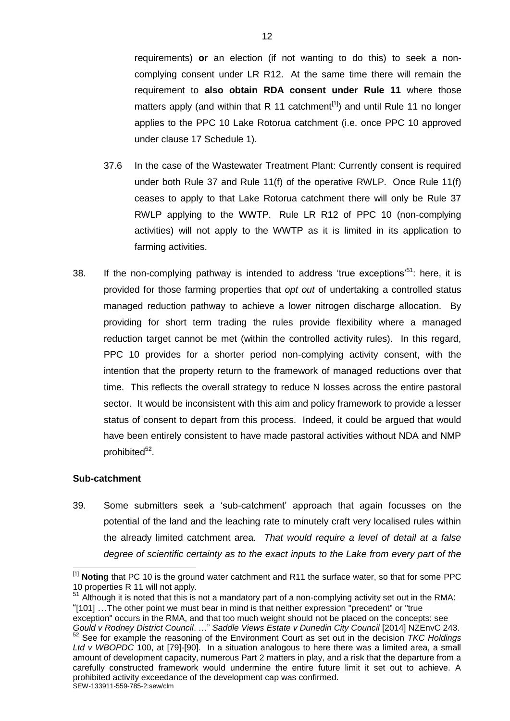requirements) **or** an election (if not wanting to do this) to seek a noncomplying consent under LR R12. At the same time there will remain the requirement to **also obtain RDA consent under Rule 11** where those matters apply (and within that R 11 catchment<sup>[1]</sup>) and until Rule 11 no longer applies to the PPC 10 Lake Rotorua catchment (i.e. once PPC 10 approved under clause 17 Schedule 1).

- 37.6 In the case of the Wastewater Treatment Plant: Currently consent is required under both Rule 37 and Rule 11(f) of the operative RWLP. Once Rule 11(f) ceases to apply to that Lake Rotorua catchment there will only be Rule 37 RWLP applying to the WWTP. Rule LR R12 of PPC 10 (non-complying activities) will not apply to the WWTP as it is limited in its application to farming activities.
- 38. If the non-complying pathway is intended to address 'true exceptions'<sup>51</sup>: here, it is provided for those farming properties that *opt out* of undertaking a controlled status managed reduction pathway to achieve a lower nitrogen discharge allocation. By providing for short term trading the rules provide flexibility where a managed reduction target cannot be met (within the controlled activity rules). In this regard, PPC 10 provides for a shorter period non-complying activity consent, with the intention that the property return to the framework of managed reductions over that time. This reflects the overall strategy to reduce N losses across the entire pastoral sector. It would be inconsistent with this aim and policy framework to provide a lesser status of consent to depart from this process. Indeed, it could be argued that would have been entirely consistent to have made pastoral activities without NDA and NMP prohibited<sup>52</sup>.

# **Sub-catchment**

 $\overline{a}$ 

39. Some submitters seek a 'sub-catchment' approach that again focusses on the potential of the land and the leaching rate to minutely craft very localised rules within the already limited catchment area. *That would require a level of detail at a false degree of scientific certainty as to the exact inputs to the Lake from every part of the* 

exception" occurs in the RMA, and that too much weight should not be placed on the concepts: see

<sup>[1]</sup> **Noting** that PC 10 is the ground water catchment and R11 the surface water, so that for some PPC 10 properties R 11 will not apply.

 $51$  Although it is noted that this is not a mandatory part of a non-complying activity set out in the RMA: "[101] …The other point we must bear in mind is that neither expression "precedent" or "true

SEW-133911-559-785-2:sew/clm *Gould v Rodney District Council*. …" *Saddle Views Estate v Dunedin City Council* [2014] NZEnvC 243. <sup>52</sup> See for example the reasoning of the Environment Court as set out in the decision *TKC Holdings Ltd v WBOPDC* 100, at [79]-[90]. In a situation analogous to here there was a limited area, a small amount of development capacity, numerous Part 2 matters in play, and a risk that the departure from a carefully constructed framework would undermine the entire future limit it set out to achieve. A prohibited activity exceedance of the development cap was confirmed.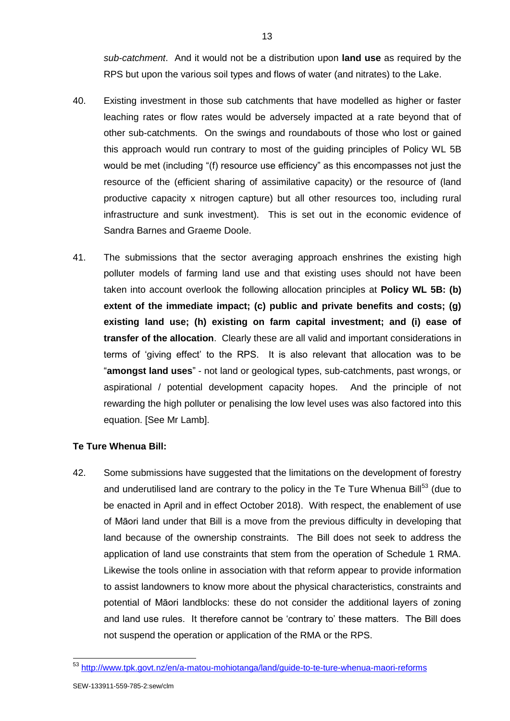*sub-catchment*. And it would not be a distribution upon **land use** as required by the RPS but upon the various soil types and flows of water (and nitrates) to the Lake.

- 40. Existing investment in those sub catchments that have modelled as higher or faster leaching rates or flow rates would be adversely impacted at a rate beyond that of other sub-catchments. On the swings and roundabouts of those who lost or gained this approach would run contrary to most of the guiding principles of Policy WL 5B would be met (including "(f) resource use efficiency" as this encompasses not just the resource of the (efficient sharing of assimilative capacity) or the resource of (land productive capacity x nitrogen capture) but all other resources too, including rural infrastructure and sunk investment). This is set out in the economic evidence of Sandra Barnes and Graeme Doole.
- 41. The submissions that the sector averaging approach enshrines the existing high polluter models of farming land use and that existing uses should not have been taken into account overlook the following allocation principles at **Policy WL 5B: (b) extent of the immediate impact; (c) public and private benefits and costs; (g) existing land use; (h) existing on farm capital investment; and (i) ease of transfer of the allocation**. Clearly these are all valid and important considerations in terms of 'giving effect' to the RPS. It is also relevant that allocation was to be "**amongst land uses**" - not land or geological types, sub-catchments, past wrongs, or aspirational / potential development capacity hopes. And the principle of not rewarding the high polluter or penalising the low level uses was also factored into this equation. [See Mr Lamb].

# **Te Ture Whenua Bill:**

42. Some submissions have suggested that the limitations on the development of forestry and underutilised land are contrary to the policy in the Te Ture Whenua Bill<sup>53</sup> (due to be enacted in April and in effect October 2018). With respect, the enablement of use of Māori land under that Bill is a move from the previous difficulty in developing that land because of the ownership constraints. The Bill does not seek to address the application of land use constraints that stem from the operation of Schedule 1 RMA. Likewise the tools online in association with that reform appear to provide information to assist landowners to know more about the physical characteristics, constraints and potential of Māori landblocks: these do not consider the additional layers of zoning and land use rules. It therefore cannot be 'contrary to' these matters. The Bill does not suspend the operation or application of the RMA or the RPS.

-

<sup>&</sup>lt;sup>53</sup> <http://www.tpk.govt.nz/en/a-matou-mohiotanga/land/guide-to-te-ture-whenua-maori-reforms>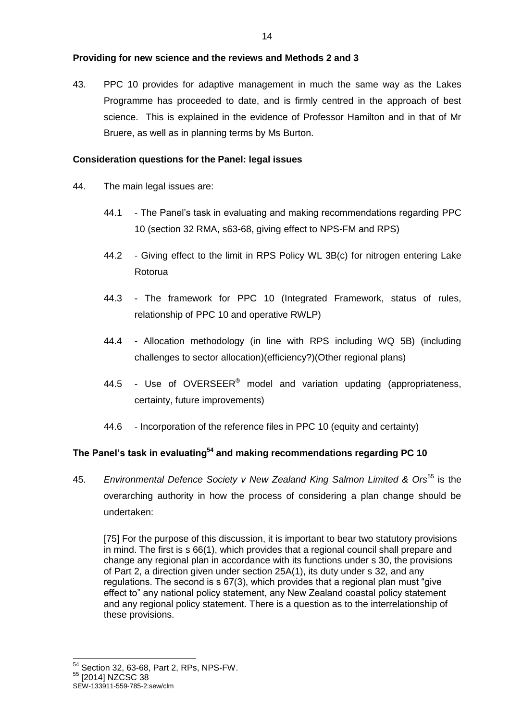# **Providing for new science and the reviews and Methods 2 and 3**

43. PPC 10 provides for adaptive management in much the same way as the Lakes Programme has proceeded to date, and is firmly centred in the approach of best science. This is explained in the evidence of Professor Hamilton and in that of Mr Bruere, as well as in planning terms by Ms Burton.

# **Consideration questions for the Panel: legal issues**

- 44. The main legal issues are:
	- 44.1 The Panel's task in evaluating and making recommendations regarding PPC 10 (section 32 RMA, s63-68, giving effect to NPS-FM and RPS)
	- 44.2 Giving effect to the limit in RPS Policy WL 3B(c) for nitrogen entering Lake Rotorua
	- 44.3 The framework for PPC 10 (Integrated Framework, status of rules, relationship of PPC 10 and operative RWLP)
	- 44.4 Allocation methodology (in line with RPS including WQ 5B) (including challenges to sector allocation)(efficiency?)(Other regional plans)
	- 44.5 Use of OVERSEER<sup>®</sup> model and variation updating (appropriateness, certainty, future improvements)
	- 44.6 Incorporation of the reference files in PPC 10 (equity and certainty)

# **The Panel's task in evaluating<sup>54</sup> and making recommendations regarding PC 10**

45. *Environmental Defence Society v New Zealand King Salmon Limited & Ors*<sup>55</sup> is the overarching authority in how the process of considering a plan change should be undertaken:

[75] For the purpose of this discussion, it is important to bear two statutory provisions in mind. The first is s 66(1), which provides that a regional council shall prepare and change any regional plan in accordance with its functions under s 30, the provisions of Part 2, a direction given under section 25A(1), its duty under s 32, and any regulations. The second is s 67(3), which provides that a regional plan must "give effect to" any national policy statement, any New Zealand coastal policy statement and any regional policy statement. There is a question as to the interrelationship of these provisions.

-

<sup>54</sup> Section 32, 63-68, Part 2, RPs, NPS-FW.

<sup>55 [2014]</sup> NZCSC 38

SEW-133911-559-785-2:sew/clm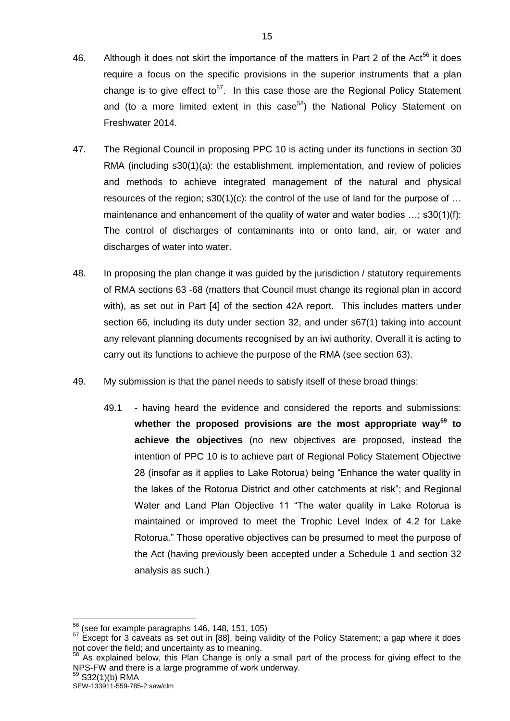- 46. Although it does not skirt the importance of the matters in Part 2 of the Act<sup>56</sup> it does require a focus on the specific provisions in the superior instruments that a plan change is to give effect to<sup>57</sup>. In this case those are the Regional Policy Statement and (to a more limited extent in this case<sup>58</sup>) the National Policy Statement on Freshwater 2014.
- 47. The Regional Council in proposing PPC 10 is acting under its functions in section 30 RMA (including s30(1)(a): the establishment, implementation, and review of policies and methods to achieve integrated management of the natural and physical resources of the region;  $s30(1)(c)$ : the control of the use of land for the purpose of ... maintenance and enhancement of the quality of water and water bodies …; s30(1)(f): The control of discharges of contaminants into or onto land, air, or water and discharges of water into water.
- 48. In proposing the plan change it was guided by the jurisdiction / statutory requirements of RMA sections 63 -68 (matters that Council must change its regional plan in accord with), as set out in Part [4] of the section 42A report. This includes matters under section 66, including its duty under section 32, and under s67(1) taking into account any relevant planning documents recognised by an iwi authority. Overall it is acting to carry out its functions to achieve the purpose of the RMA (see section 63).
- 49. My submission is that the panel needs to satisfy itself of these broad things:
	- 49.1 having heard the evidence and considered the reports and submissions: **whether the proposed provisions are the most appropriate way<sup>59</sup> to achieve the objectives** (no new objectives are proposed, instead the intention of PPC 10 is to achieve part of Regional Policy Statement Objective 28 (insofar as it applies to Lake Rotorua) being "Enhance the water quality in the lakes of the Rotorua District and other catchments at risk"; and Regional Water and Land Plan Objective 11 "The water quality in Lake Rotorua is maintained or improved to meet the Trophic Level Index of 4.2 for Lake Rotorua." Those operative objectives can be presumed to meet the purpose of the Act (having previously been accepted under a Schedule 1 and section 32 analysis as such.)

 $59$  S32(1)(b) RMA

 $56$  (see for example paragraphs 146, 148, 151, 105)

<sup>&</sup>lt;sup>57</sup> Except for 3 caveats as set out in [88], being validity of the Policy Statement; a gap where it does not cover the field; and uncertainty as to meaning.

<sup>&</sup>lt;sup>58</sup> As explained below, this Plan Change is only a small part of the process for giving effect to the NPS-FW and there is a large programme of work underway.

SEW-133911-559-785-2:sew/clm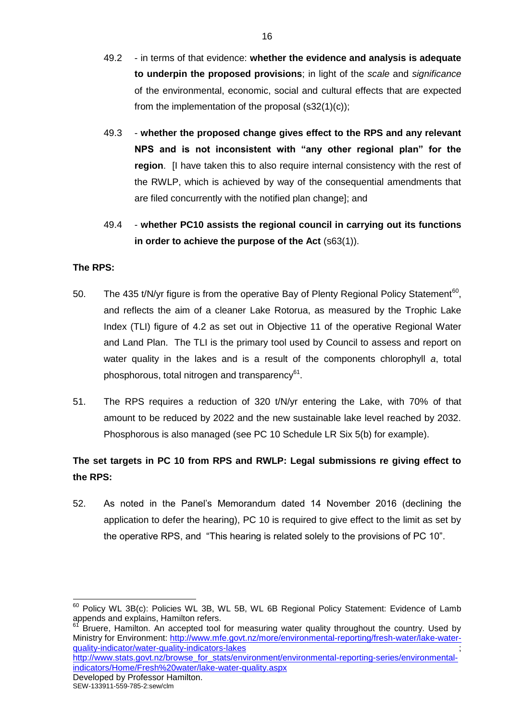- 49.2 in terms of that evidence: **whether the evidence and analysis is adequate to underpin the proposed provisions**; in light of the *scale* and *significance* of the environmental, economic, social and cultural effects that are expected from the implementation of the proposal  $(s32(1)(c))$ ;
- 49.3 **whether the proposed change gives effect to the RPS and any relevant NPS and is not inconsistent with "any other regional plan" for the region**. [I have taken this to also require internal consistency with the rest of the RWLP, which is achieved by way of the consequential amendments that are filed concurrently with the notified plan change]; and
- 49.4 **whether PC10 assists the regional council in carrying out its functions in order to achieve the purpose of the Act** (s63(1)).

# **The RPS:**

- 50. The 435 t/N/yr figure is from the operative Bay of Plenty Regional Policy Statement<sup>60</sup>, and reflects the aim of a cleaner Lake Rotorua, as measured by the Trophic Lake Index (TLI) figure of 4.2 as set out in Objective 11 of the operative Regional Water and Land Plan. The TLI is the primary tool used by Council to assess and report on water quality in the lakes and is a result of the components chlorophyll *a*, total phosphorous, total nitrogen and transparency<sup>61</sup>.
- 51. The RPS requires a reduction of 320 t/N/yr entering the Lake, with 70% of that amount to be reduced by 2022 and the new sustainable lake level reached by 2032. Phosphorous is also managed (see PC 10 Schedule LR Six 5(b) for example).

# **The set targets in PC 10 from RPS and RWLP: Legal submissions re giving effect to the RPS:**

52. As noted in the Panel's Memorandum dated 14 November 2016 (declining the application to defer the hearing), PC 10 is required to give effect to the limit as set by the operative RPS, and "This hearing is related solely to the provisions of PC 10".

[indicators/Home/Fresh%20water/lake-water-quality.aspx](http://www.stats.govt.nz/browse_for_stats/environment/environmental-reporting-series/environmental-indicators/Home/Fresh%20water/lake-water-quality.aspx)

-

 $60$  Policy WL 3B(c): Policies WL 3B, WL 5B, WL 6B Regional Policy Statement: Evidence of Lamb  $\frac{1}{2}$ appends and explains, Hamilton refers.

<sup>61</sup> Bruere, Hamilton. An accepted tool for measuring water quality throughout the country. Used by Ministry for Environment: [http://www.mfe.govt.nz/more/environmental-reporting/fresh-water/lake-water](http://www.mfe.govt.nz/more/environmental-reporting/fresh-water/lake-water-quality-indicator/water-quality-indicators-lakes)[quality-indicator/water-quality-indicators-lakes](http://www.mfe.govt.nz/more/environmental-reporting/fresh-water/lake-water-quality-indicator/water-quality-indicators-lakes) ; [http://www.stats.govt.nz/browse\\_for\\_stats/environment/environmental-reporting-series/environmental-](http://www.stats.govt.nz/browse_for_stats/environment/environmental-reporting-series/environmental-indicators/Home/Fresh%20water/lake-water-quality.aspx)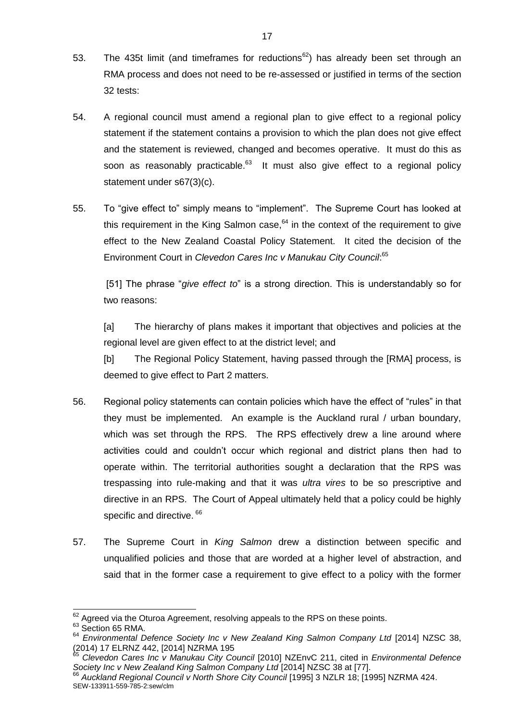- 53. The 435t limit (and timeframes for reductions<sup>62</sup>) has already been set through an RMA process and does not need to be re-assessed or justified in terms of the section 32 tests:
- 54. A regional council must amend a regional plan to give effect to a regional policy statement if the statement contains a provision to which the plan does not give effect and the statement is reviewed, changed and becomes operative. It must do this as soon as reasonably practicable. $63$  It must also give effect to a regional policy statement under s67(3)(c).
- 55. To "give effect to" simply means to "implement". The Supreme Court has looked at this requirement in the King Salmon case,  $64$  in the context of the requirement to give effect to the New Zealand Coastal Policy Statement. It cited the decision of the Environment Court in *Clevedon Cares Inc v Manukau City Council*: 65

[51] The phrase "*give effect to*" is a strong direction. This is understandably so for two reasons:

[a] The hierarchy of plans makes it important that objectives and policies at the regional level are given effect to at the district level; and

[b] The Regional Policy Statement, having passed through the [RMA] process, is deemed to give effect to Part 2 matters.

- 56. Regional policy statements can contain policies which have the effect of "rules" in that they must be implemented. An example is the Auckland rural / urban boundary, which was set through the RPS. The RPS effectively drew a line around where activities could and couldn't occur which regional and district plans then had to operate within. The territorial authorities sought a declaration that the RPS was trespassing into rule-making and that it was *ultra vires* to be so prescriptive and directive in an RPS. The Court of Appeal ultimately held that a policy could be highly specific and directive. 66
- 57. The Supreme Court in *King Salmon* drew a distinction between specific and unqualified policies and those that are worded at a higher level of abstraction, and said that in the former case a requirement to give effect to a policy with the former

 $62$  Agreed via the Oturoa Agreement, resolving appeals to the RPS on these points.

<sup>&</sup>lt;sup>63</sup> Section 65 RMA.

<sup>&</sup>lt;sup>64</sup> Environmental Defence Society Inc v New Zealand King Salmon Company Ltd [2014] NZSC 38, (2014) 17 ELRNZ 442, [2014] NZRMA 195

<sup>65</sup> *Clevedon Cares Inc v Manukau City Council* [2010] NZEnvC 211, cited in *Environmental Defence Society Inc v New Zealand King Salmon Company Ltd* [2014] NZSC 38 at [77].

SEW-133911-559-785-2:sew/clm <sup>66</sup> *Auckland Regional Council v North Shore City Council* [1995] 3 NZLR 18; [1995] NZRMA 424.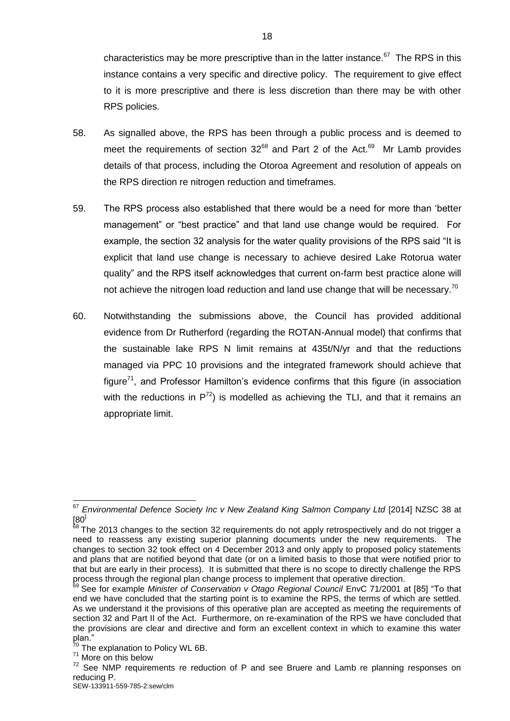characteristics may be more prescriptive than in the latter instance. $67$  The RPS in this instance contains a very specific and directive policy. The requirement to give effect to it is more prescriptive and there is less discretion than there may be with other RPS policies.

- 58. As signalled above, the RPS has been through a public process and is deemed to meet the requirements of section  $32^{68}$  and Part 2 of the Act.<sup>69</sup> Mr Lamb provides details of that process, including the Otoroa Agreement and resolution of appeals on the RPS direction re nitrogen reduction and timeframes.
- 59. The RPS process also established that there would be a need for more than 'better management" or "best practice" and that land use change would be required. For example, the section 32 analysis for the water quality provisions of the RPS said "It is explicit that land use change is necessary to achieve desired Lake Rotorua water quality" and the RPS itself acknowledges that current on-farm best practice alone will not achieve the nitrogen load reduction and land use change that will be necessary.<sup>70</sup>
- 60. Notwithstanding the submissions above, the Council has provided additional evidence from Dr Rutherford (regarding the ROTAN-Annual model) that confirms that the sustainable lake RPS N limit remains at 435t/N/yr and that the reductions managed via PPC 10 provisions and the integrated framework should achieve that  $f_{\text{square}}^{71}$ , and Professor Hamilton's evidence confirms that this figure (in association with the reductions in  $P^{72}$ ) is modelled as achieving the TLI, and that it remains an appropriate limit.

 $\overline{1}$ 

<sup>&</sup>lt;sup>67</sup> Environmental Defence Society Inc v New Zealand King Salmon Company Ltd [2014] NZSC 38 at  $[80]$ <sub>68</sub> –

 $8$  The 2013 changes to the section 32 requirements do not apply retrospectively and do not trigger a need to reassess any existing superior planning documents under the new requirements. The changes to section 32 took effect on 4 December 2013 and only apply to proposed policy statements and plans that are notified beyond that date (or on a limited basis to those that were notified prior to that but are early in their process). It is submitted that there is no scope to directly challenge the RPS process through the regional plan change process to implement that operative direction.

<sup>&</sup>lt;sup>99</sup> See for example *Minister of Conservation v Otago Regional Council* EnvC 71/2001 at [85] "To that end we have concluded that the starting point is to examine the RPS, the terms of which are settled. As we understand it the provisions of this operative plan are accepted as meeting the requirements of section 32 and Part II of the Act. Furthermore, on re-examination of the RPS we have concluded that the provisions are clear and directive and form an excellent context in which to examine this water plan."

<sup>&</sup>lt;sup>70</sup> The explanation to Policy WL 6B.

<sup>&</sup>lt;sup>71</sup> More on this below

 $72$  See NMP requirements re reduction of P and see Bruere and Lamb re planning responses on reducing P.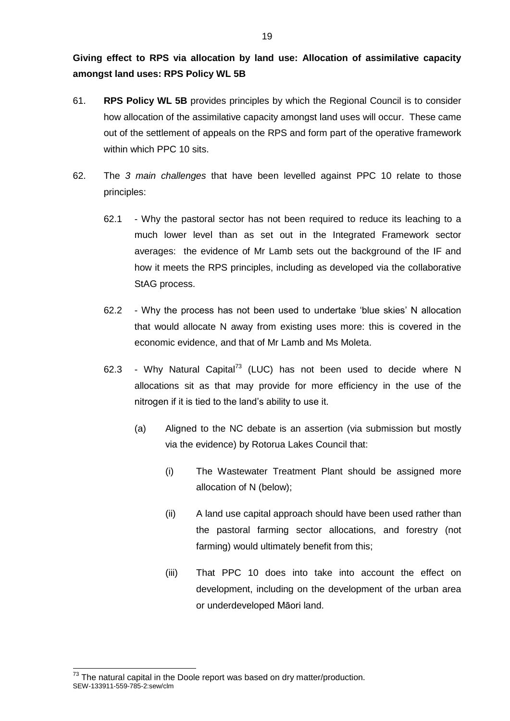**Giving effect to RPS via allocation by land use: Allocation of assimilative capacity amongst land uses: RPS Policy WL 5B**

- 61. **RPS Policy WL 5B** provides principles by which the Regional Council is to consider how allocation of the assimilative capacity amongst land uses will occur. These came out of the settlement of appeals on the RPS and form part of the operative framework within which PPC 10 sits.
- 62. The *3 main challenges* that have been levelled against PPC 10 relate to those principles:
	- 62.1 Why the pastoral sector has not been required to reduce its leaching to a much lower level than as set out in the Integrated Framework sector averages: the evidence of Mr Lamb sets out the background of the IF and how it meets the RPS principles, including as developed via the collaborative StAG process.
	- 62.2 Why the process has not been used to undertake 'blue skies' N allocation that would allocate N away from existing uses more: this is covered in the economic evidence, and that of Mr Lamb and Ms Moleta.
	- 62.3 Why Natural Capital<sup>73</sup> (LUC) has not been used to decide where N allocations sit as that may provide for more efficiency in the use of the nitrogen if it is tied to the land's ability to use it.
		- (a) Aligned to the NC debate is an assertion (via submission but mostly via the evidence) by Rotorua Lakes Council that:
			- (i) The Wastewater Treatment Plant should be assigned more allocation of N (below);
			- (ii) A land use capital approach should have been used rather than the pastoral farming sector allocations, and forestry (not farming) would ultimately benefit from this;
			- (iii) That PPC 10 does into take into account the effect on development, including on the development of the urban area or underdeveloped Māori land.

SEW-133911-559-785-2:sew/clm  $\overline{a}$  $^{73}$  The natural capital in the Doole report was based on dry matter/production.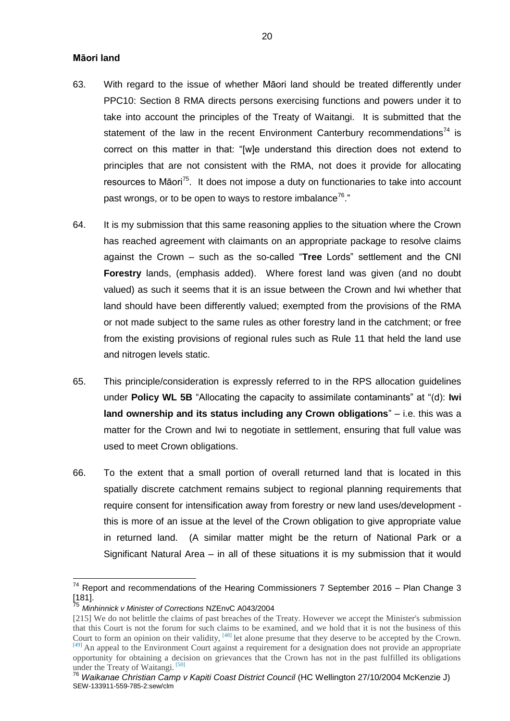#### **Māori land**

- 63. With regard to the issue of whether Māori land should be treated differently under PPC10: Section 8 RMA directs persons exercising functions and powers under it to take into account the principles of the Treaty of Waitangi. It is submitted that the statement of the law in the recent Environment Canterbury recommendations<sup>74</sup> is correct on this matter in that: "[w]e understand this direction does not extend to principles that are not consistent with the RMA, not does it provide for allocating resources to Māori<sup>75</sup>. It does not impose a duty on functionaries to take into account past wrongs, or to be open to ways to restore imbalance<sup>76</sup>."
- 64. It is my submission that this same reasoning applies to the situation where the Crown has reached agreement with claimants on an appropriate package to resolve claims against the Crown – such as the so-called "**Tree** Lords" settlement and the CNI **Forestry** lands, (emphasis added). Where forest land was given (and no doubt valued) as such it seems that it is an issue between the Crown and Iwi whether that land should have been differently valued; exempted from the provisions of the RMA or not made subject to the same rules as other forestry land in the catchment; or free from the existing provisions of regional rules such as Rule 11 that held the land use and nitrogen levels static.
- 65. This principle/consideration is expressly referred to in the RPS allocation guidelines under **Policy WL 5B** "Allocating the capacity to assimilate contaminants" at "(d): **Iwi land ownership and its status including any Crown obligations**" – i.e. this was a matter for the Crown and Iwi to negotiate in settlement, ensuring that full value was used to meet Crown obligations.
- 66. To the extent that a small portion of overall returned land that is located in this spatially discrete catchment remains subject to regional planning requirements that require consent for intensification away from forestry or new land uses/development this is more of an issue at the level of the Crown obligation to give appropriate value in returned land. (A similar matter might be the return of National Park or a Significant Natural Area – in all of these situations it is my submission that it would

 $74$  Report and recommendations of the Hearing Commissioners 7 September 2016 – Plan Change 3 [181].

<sup>75</sup> *Minhinnick v Minister of Corrections* NZEnvC A043/2004

<sup>[215]</sup> We do not belittle the claims of past breaches of the Treaty. However we accept the Minister's submission that this Court is not the forum for such claims to be examined, and we hold that it is not the business of this Court to form an opinion on their validity, <sup>[48]</sup> let alone presume that they deserve to be accepted by the Crown[.](http://www.westlaw.co.nz/maf/wlnz/app/document?snippets=true&ao=&src=docnav&docguid=Ibf34e3099f4c11e0a619d462427863b2&srguid=&epos=71&startChunk=3&endChunk=3&nstid=std-anz-highlight&nsds=AUNZ_SEARCHALL&isTocNav=true&tocDs=AUNZ_CASES_TOC#FTN.18) [\[49\]](http://www.westlaw.co.nz/maf/wlnz/app/document?snippets=true&ao=&src=docnav&docguid=Ibf34e3099f4c11e0a619d462427863b2&srguid=&epos=71&startChunk=3&endChunk=3&nstid=std-anz-highlight&nsds=AUNZ_SEARCHALL&isTocNav=true&tocDs=AUNZ_CASES_TOC#FTN.18) An appeal to the Environment Court against a requirement for a designation does not provide an appropriate opportunity for obtaining a decision on grievances that the Crown has not in the past fulfilled its obligations under the Treaty of Waitangi. [\[50\]](http://www.westlaw.co.nz/maf/wlnz/app/document?snippets=true&ao=&src=docnav&docguid=Ibf34e3099f4c11e0a619d462427863b2&srguid=&epos=71&startChunk=3&endChunk=3&nstid=std-anz-highlight&nsds=AUNZ_SEARCHALL&isTocNav=true&tocDs=AUNZ_CASES_TOC#FTN.19)

SEW-133911-559-785-2:sew/clm <sup>76</sup> Waikanae Christian Camp v Kapiti Coast District Council (HC Wellington 27/10/2004 McKenzie J)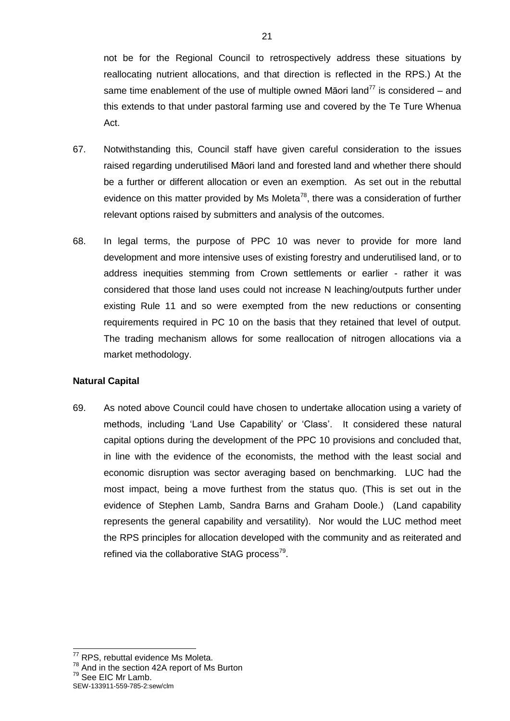not be for the Regional Council to retrospectively address these situations by reallocating nutrient allocations, and that direction is reflected in the RPS.) At the same time enablement of the use of multiple owned Māori land<sup>77</sup> is considered – and this extends to that under pastoral farming use and covered by the Te Ture Whenua Act.

- 67. Notwithstanding this, Council staff have given careful consideration to the issues raised regarding underutilised Māori land and forested land and whether there should be a further or different allocation or even an exemption. As set out in the rebuttal evidence on this matter provided by Ms Moleta<sup>78</sup>, there was a consideration of further relevant options raised by submitters and analysis of the outcomes.
- 68. In legal terms, the purpose of PPC 10 was never to provide for more land development and more intensive uses of existing forestry and underutilised land, or to address inequities stemming from Crown settlements or earlier - rather it was considered that those land uses could not increase N leaching/outputs further under existing Rule 11 and so were exempted from the new reductions or consenting requirements required in PC 10 on the basis that they retained that level of output. The trading mechanism allows for some reallocation of nitrogen allocations via a market methodology.

# **Natural Capital**

69. As noted above Council could have chosen to undertake allocation using a variety of methods, including 'Land Use Capability' or 'Class'. It considered these natural capital options during the development of the PPC 10 provisions and concluded that, in line with the evidence of the economists, the method with the least social and economic disruption was sector averaging based on benchmarking. LUC had the most impact, being a move furthest from the status quo. (This is set out in the evidence of Stephen Lamb, Sandra Barns and Graham Doole.) (Land capability represents the general capability and versatility). Nor would the LUC method meet the RPS principles for allocation developed with the community and as reiterated and refined via the collaborative StAG process<sup>79</sup>.

<sup>79</sup> See EIC Mr Lamb.

<sup>&</sup>lt;sup>77</sup> RPS, rebuttal evidence Ms Moleta.

<sup>&</sup>lt;sup>78</sup> And in the section 42A report of Ms Burton

SEW-133911-559-785-2:sew/clm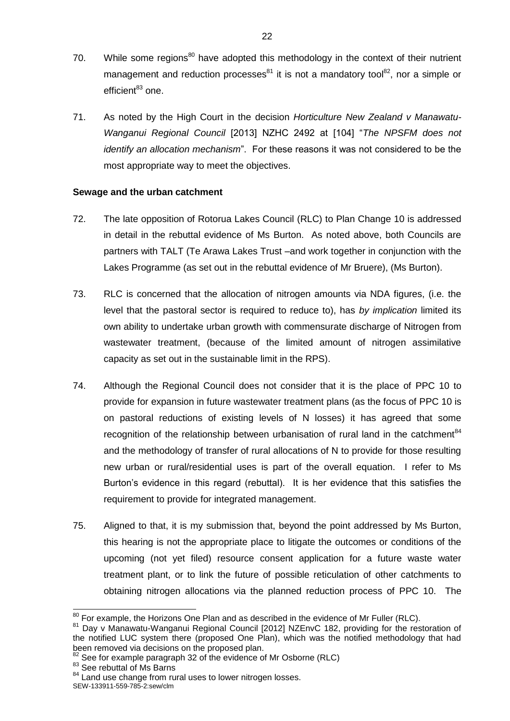- 70. While some regions<sup>80</sup> have adopted this methodology in the context of their nutrient management and reduction processes $^{81}$  it is not a mandatory tool $^{82}$ , nor a simple or  $efficient<sup>83</sup>$  one.
- 71. As noted by the High Court in the decision *Horticulture New Zealand v Manawatu-Wanganui Regional Council* [2013] NZHC 2492 at [104] "*The NPSFM does not identify an allocation mechanism*". For these reasons it was not considered to be the most appropriate way to meet the objectives.

# **Sewage and the urban catchment**

- 72. The late opposition of Rotorua Lakes Council (RLC) to Plan Change 10 is addressed in detail in the rebuttal evidence of Ms Burton. As noted above, both Councils are partners with TALT (Te Arawa Lakes Trust –and work together in conjunction with the Lakes Programme (as set out in the rebuttal evidence of Mr Bruere), (Ms Burton).
- 73. RLC is concerned that the allocation of nitrogen amounts via NDA figures, (i.e. the level that the pastoral sector is required to reduce to), has *by implication* limited its own ability to undertake urban growth with commensurate discharge of Nitrogen from wastewater treatment, (because of the limited amount of nitrogen assimilative capacity as set out in the sustainable limit in the RPS).
- 74. Although the Regional Council does not consider that it is the place of PPC 10 to provide for expansion in future wastewater treatment plans (as the focus of PPC 10 is on pastoral reductions of existing levels of N losses) it has agreed that some recognition of the relationship between urbanisation of rural land in the catchment<sup>84</sup> and the methodology of transfer of rural allocations of N to provide for those resulting new urban or rural/residential uses is part of the overall equation. I refer to Ms Burton's evidence in this regard (rebuttal). It is her evidence that this satisfies the requirement to provide for integrated management.
- 75. Aligned to that, it is my submission that, beyond the point addressed by Ms Burton, this hearing is not the appropriate place to litigate the outcomes or conditions of the upcoming (not yet filed) resource consent application for a future waste water treatment plant, or to link the future of possible reticulation of other catchments to obtaining nitrogen allocations via the planned reduction process of PPC 10. The

83 See rebuttal of Ms Barns

 $80$  For example, the Horizons One Plan and as described in the evidence of Mr Fuller (RLC).

<sup>&</sup>lt;sup>81</sup> Day v Manawatu-Wanganui Regional Council [2012] NZEnvC 182, providing for the restoration of the notified LUC system there (proposed One Plan), which was the notified methodology that had been removed via decisions on the proposed plan.

 $82$  See for example paragraph 32 of the evidence of Mr Osborne (RLC)

<sup>&</sup>lt;sup>84</sup> Land use change from rural uses to lower nitrogen losses.

SEW-133911-559-785-2:sew/clm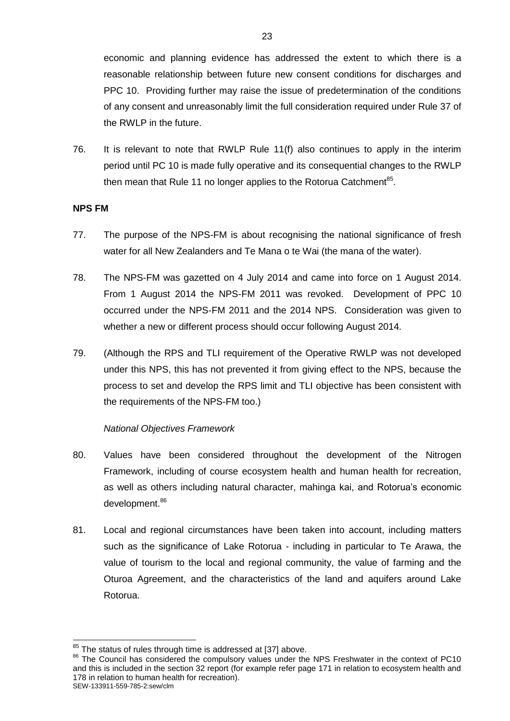economic and planning evidence has addressed the extent to which there is a reasonable relationship between future new consent conditions for discharges and PPC 10. Providing further may raise the issue of predetermination of the conditions of any consent and unreasonably limit the full consideration required under Rule 37 of the RWLP in the future.

76. It is relevant to note that RWLP Rule 11(f) also continues to apply in the interim period until PC 10 is made fully operative and its consequential changes to the RWLP then mean that Rule 11 no longer applies to the Rotorua Catchment<sup>85</sup>.

# **NPS FM**

- 77. The purpose of the NPS-FM is about recognising the national significance of fresh water for all New Zealanders and Te Mana o te Wai (the mana of the water).
- 78. The NPS-FM was gazetted on 4 July 2014 and came into force on 1 August 2014. From 1 August 2014 the NPS-FM 2011 was revoked. Development of PPC 10 occurred under the NPS-FM 2011 and the 2014 NPS. Consideration was given to whether a new or different process should occur following August 2014.
- 79. (Although the RPS and TLI requirement of the Operative RWLP was not developed under this NPS, this has not prevented it from giving effect to the NPS, because the process to set and develop the RPS limit and TLI objective has been consistent with the requirements of the NPS-FM too.)

# *National Objectives Framework*

- 80. Values have been considered throughout the development of the Nitrogen Framework, including of course ecosystem health and human health for recreation, as well as others including natural character, mahinga kai, and Rotorua's economic development.<sup>86</sup>
- 81. Local and regional circumstances have been taken into account, including matters such as the significance of Lake Rotorua - including in particular to Te Arawa, the value of tourism to the local and regional community, the value of farming and the Oturoa Agreement, and the characteristics of the land and aquifers around Lake Rotorua.

<sup>1</sup>  $85$  The status of rules through time is addressed at [37] above.

<sup>&</sup>lt;sup>86</sup> The Council has considered the compulsory values under the NPS Freshwater in the context of PC10 and this is included in the section 32 report (for example refer page 171 in relation to ecosystem health and 178 in relation to human health for recreation).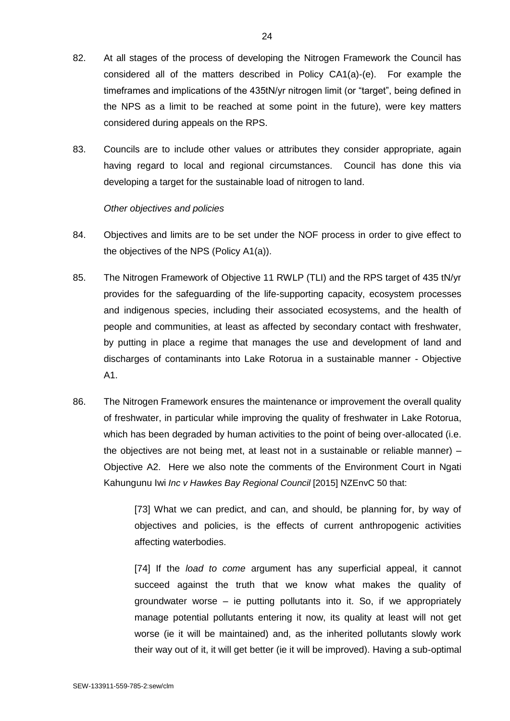- 82. At all stages of the process of developing the Nitrogen Framework the Council has considered all of the matters described in Policy CA1(a)-(e). For example the timeframes and implications of the 435tN/yr nitrogen limit (or "target", being defined in the NPS as a limit to be reached at some point in the future), were key matters considered during appeals on the RPS.
- 83. Councils are to include other values or attributes they consider appropriate, again having regard to local and regional circumstances. Council has done this via developing a target for the sustainable load of nitrogen to land.

# *Other objectives and policies*

- 84. Objectives and limits are to be set under the NOF process in order to give effect to the objectives of the NPS (Policy A1(a)).
- 85. The Nitrogen Framework of Objective 11 RWLP (TLI) and the RPS target of 435 tN/yr provides for the safeguarding of the life-supporting capacity, ecosystem processes and indigenous species, including their associated ecosystems, and the health of people and communities, at least as affected by secondary contact with freshwater, by putting in place a regime that manages the use and development of land and discharges of contaminants into Lake Rotorua in a sustainable manner - Objective A1.
- 86. The Nitrogen Framework ensures the maintenance or improvement the overall quality of freshwater, in particular while improving the quality of freshwater in Lake Rotorua, which has been degraded by human activities to the point of being over-allocated (i.e. the objectives are not being met, at least not in a sustainable or reliable manner) – Objective A2. Here we also note the comments of the Environment Court in Ngati Kahungunu Iwi *Inc v Hawkes Bay Regional Council* [2015] NZEnvC 50 that:

[73] What we can predict, and can, and should, be planning for, by way of objectives and policies, is the effects of current anthropogenic activities affecting waterbodies.

[74] If the *load to come* argument has any superficial appeal, it cannot succeed against the truth that we know what makes the quality of groundwater worse – ie putting pollutants into it. So, if we appropriately manage potential pollutants entering it now, its quality at least will not get worse (ie it will be maintained) and, as the inherited pollutants slowly work their way out of it, it will get better (ie it will be improved). Having a sub-optimal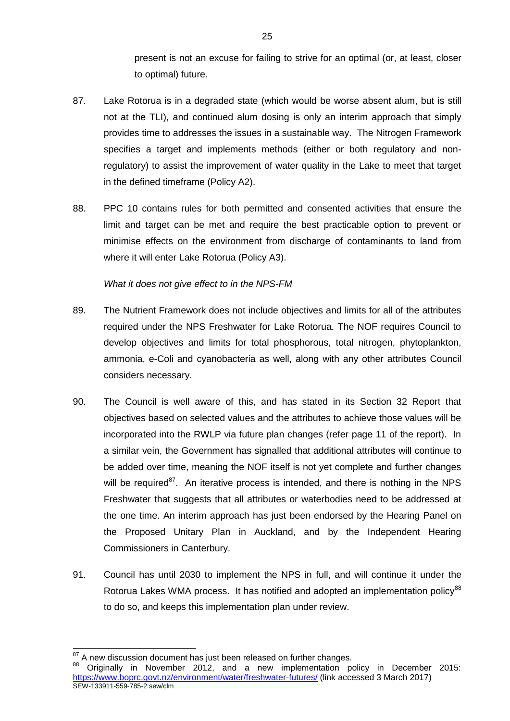present is not an excuse for failing to strive for an optimal (or, at least, closer to optimal) future.

- 87. Lake Rotorua is in a degraded state (which would be worse absent alum, but is still not at the TLI), and continued alum dosing is only an interim approach that simply provides time to addresses the issues in a sustainable way. The Nitrogen Framework specifies a target and implements methods (either or both regulatory and nonregulatory) to assist the improvement of water quality in the Lake to meet that target in the defined timeframe (Policy A2).
- 88. PPC 10 contains rules for both permitted and consented activities that ensure the limit and target can be met and require the best practicable option to prevent or minimise effects on the environment from discharge of contaminants to land from where it will enter Lake Rotorua (Policy A3).

# *What it does not give effect to in the NPS-FM*

- 89. The Nutrient Framework does not include objectives and limits for all of the attributes required under the NPS Freshwater for Lake Rotorua. The NOF requires Council to develop objectives and limits for total phosphorous, total nitrogen, phytoplankton, ammonia, e-Coli and cyanobacteria as well, along with any other attributes Council considers necessary.
- 90. The Council is well aware of this, and has stated in its Section 32 Report that objectives based on selected values and the attributes to achieve those values will be incorporated into the RWLP via future plan changes (refer page 11 of the report). In a similar vein, the Government has signalled that additional attributes will continue to be added over time, meaning the NOF itself is not yet complete and further changes will be required<sup>87</sup>. An iterative process is intended, and there is nothing in the NPS Freshwater that suggests that all attributes or waterbodies need to be addressed at the one time. An interim approach has just been endorsed by the Hearing Panel on the Proposed Unitary Plan in Auckland, and by the Independent Hearing Commissioners in Canterbury.
- 91. Council has until 2030 to implement the NPS in full, and will continue it under the Rotorua Lakes WMA process. It has notified and adopted an implementation policy<sup>88</sup> to do so, and keeps this implementation plan under review.

 $87$  A new discussion document has just been released on further changes.

SEW-133911-559-785-2:sew/clm 88 Originally in November 2012, and a new implementation policy in December 2015: <https://www.boprc.govt.nz/environment/water/freshwater-futures/> (link accessed 3 March 2017)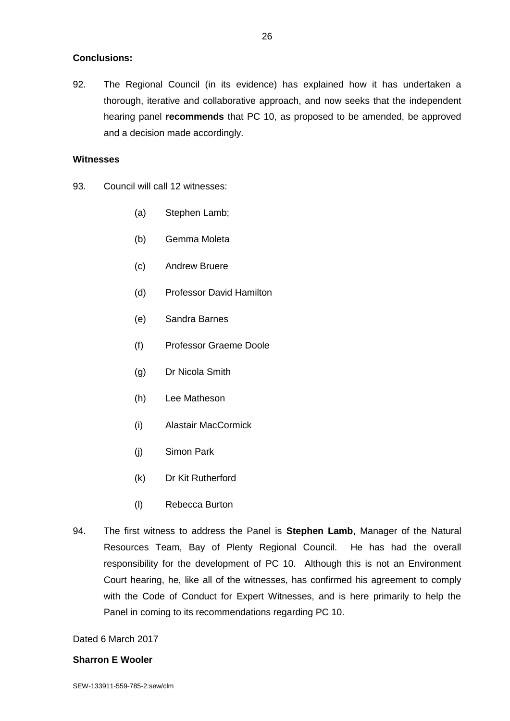# **Conclusions:**

92. The Regional Council (in its evidence) has explained how it has undertaken a thorough, iterative and collaborative approach, and now seeks that the independent hearing panel **recommends** that PC 10, as proposed to be amended, be approved and a decision made accordingly.

### **Witnesses**

- 93. Council will call 12 witnesses:
	- (a) Stephen Lamb;
	- (b) Gemma Moleta
	- (c) Andrew Bruere
	- (d) Professor David Hamilton
	- (e) Sandra Barnes
	- (f) Professor Graeme Doole
	- (g) Dr Nicola Smith
	- (h) Lee Matheson
	- (i) Alastair MacCormick
	- (j) Simon Park
	- (k) Dr Kit Rutherford
	- (l) Rebecca Burton
- 94. The first witness to address the Panel is **Stephen Lamb**, Manager of the Natural Resources Team, Bay of Plenty Regional Council. He has had the overall responsibility for the development of PC 10. Although this is not an Environment Court hearing, he, like all of the witnesses, has confirmed his agreement to comply with the Code of Conduct for Expert Witnesses, and is here primarily to help the Panel in coming to its recommendations regarding PC 10.

# Dated 6 March 2017

# **Sharron E Wooler**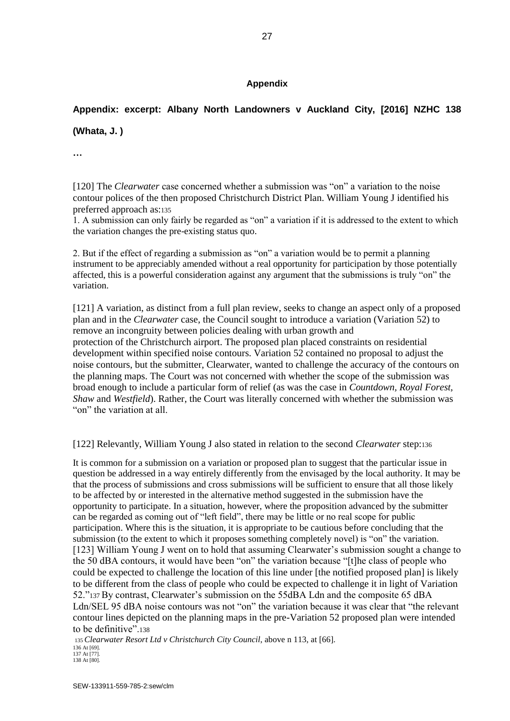# **Appendix**

# **Appendix: excerpt: Albany North Landowners v Auckland City, [2016] NZHC 138**

**(Whata, J. )**

**…**

[120] The *Clearwater* case concerned whether a submission was "on" a variation to the noise contour polices of the then proposed Christchurch District Plan. William Young J identified his preferred approach as:<sup>135</sup>

1. A submission can only fairly be regarded as "on" a variation if it is addressed to the extent to which the variation changes the pre-existing status quo.

2. But if the effect of regarding a submission as "on" a variation would be to permit a planning instrument to be appreciably amended without a real opportunity for participation by those potentially affected, this is a powerful consideration against any argument that the submissions is truly "on" the variation.

[121] A variation, as distinct from a full plan review, seeks to change an aspect only of a proposed plan and in the *Clearwater* case, the Council sought to introduce a variation (Variation 52) to remove an incongruity between policies dealing with urban growth and protection of the Christchurch airport. The proposed plan placed constraints on residential development within specified noise contours. Variation 52 contained no proposal to adjust the noise contours, but the submitter, Clearwater, wanted to challenge the accuracy of the contours on the planning maps. The Court was not concerned with whether the scope of the submission was broad enough to include a particular form of relief (as was the case in *Countdown, Royal Forest, Shaw* and *Westfield*). Rather, the Court was literally concerned with whether the submission was "on" the variation at all.

[122] Relevantly, William Young J also stated in relation to the second *Clearwater* step:<sup>136</sup>

It is common for a submission on a variation or proposed plan to suggest that the particular issue in question be addressed in a way entirely differently from the envisaged by the local authority. It may be that the process of submissions and cross submissions will be sufficient to ensure that all those likely to be affected by or interested in the alternative method suggested in the submission have the opportunity to participate. In a situation, however, where the proposition advanced by the submitter can be regarded as coming out of "left field", there may be little or no real scope for public participation. Where this is the situation, it is appropriate to be cautious before concluding that the submission (to the extent to which it proposes something completely novel) is "on" the variation. [123] William Young J went on to hold that assuming Clearwater's submission sought a change to the 50 dBA contours, it would have been "on" the variation because "[t]he class of people who could be expected to challenge the location of this line under [the notified proposed plan] is likely to be different from the class of people who could be expected to challenge it in light of Variation 52."137 By contrast, Clearwater's submission on the 55dBA Ldn and the composite 65 dBA Ldn/SEL 95 dBA noise contours was not "on" the variation because it was clear that "the relevant contour lines depicted on the planning maps in the pre-Variation 52 proposed plan were intended to be definitive".<sup>138</sup>

<sup>135</sup>*Clearwater Resort Ltd v Christchurch City Council*, above n 113, at [66]. 136 At [69]. 137 At [77]. 138 At [80].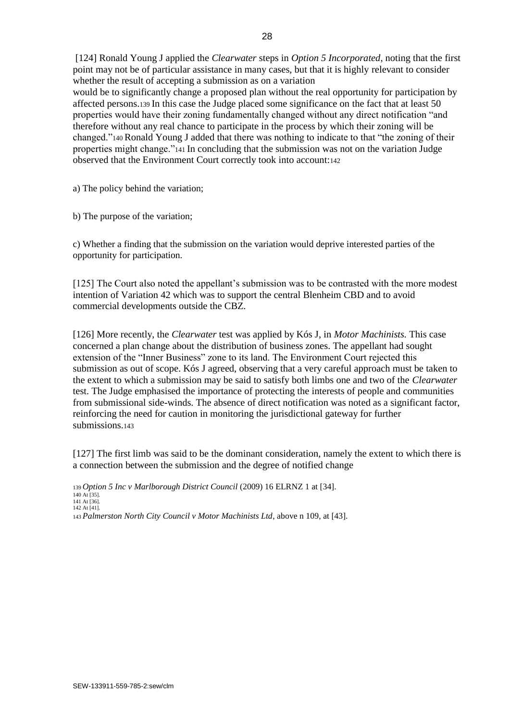[124] Ronald Young J applied the *Clearwater* steps in *Option 5 Incorporated*, noting that the first point may not be of particular assistance in many cases, but that it is highly relevant to consider whether the result of accepting a submission as on a variation would be to significantly change a proposed plan without the real opportunity for participation by

affected persons.139 In this case the Judge placed some significance on the fact that at least 50 properties would have their zoning fundamentally changed without any direct notification "and therefore without any real chance to participate in the process by which their zoning will be changed."140 Ronald Young J added that there was nothing to indicate to that "the zoning of their properties might change."141 In concluding that the submission was not on the variation Judge observed that the Environment Court correctly took into account:<sup>142</sup>

a) The policy behind the variation;

b) The purpose of the variation;

c) Whether a finding that the submission on the variation would deprive interested parties of the opportunity for participation.

[125] The Court also noted the appellant's submission was to be contrasted with the more modest intention of Variation 42 which was to support the central Blenheim CBD and to avoid commercial developments outside the CBZ.

[126] More recently, the *Clearwater* test was applied by Kós J, in *Motor Machinists.* This case concerned a plan change about the distribution of business zones. The appellant had sought extension of the "Inner Business" zone to its land. The Environment Court rejected this submission as out of scope. Kós J agreed, observing that a very careful approach must be taken to the extent to which a submission may be said to satisfy both limbs one and two of the *Clearwater*  test. The Judge emphasised the importance of protecting the interests of people and communities from submissional side-winds. The absence of direct notification was noted as a significant factor, reinforcing the need for caution in monitoring the jurisdictional gateway for further submissions.<sup>143</sup>

[127] The first limb was said to be the dominant consideration, namely the extent to which there is a connection between the submission and the degree of notified change

<sup>139</sup>*Option 5 Inc v Marlborough District Council* (2009) 16 ELRNZ 1 at [34]. 140 At [35]. 141 At [36]. 142 At [41]. 143 *Palmerston North City Council v Motor Machinists Ltd*, above n 109, at [43].